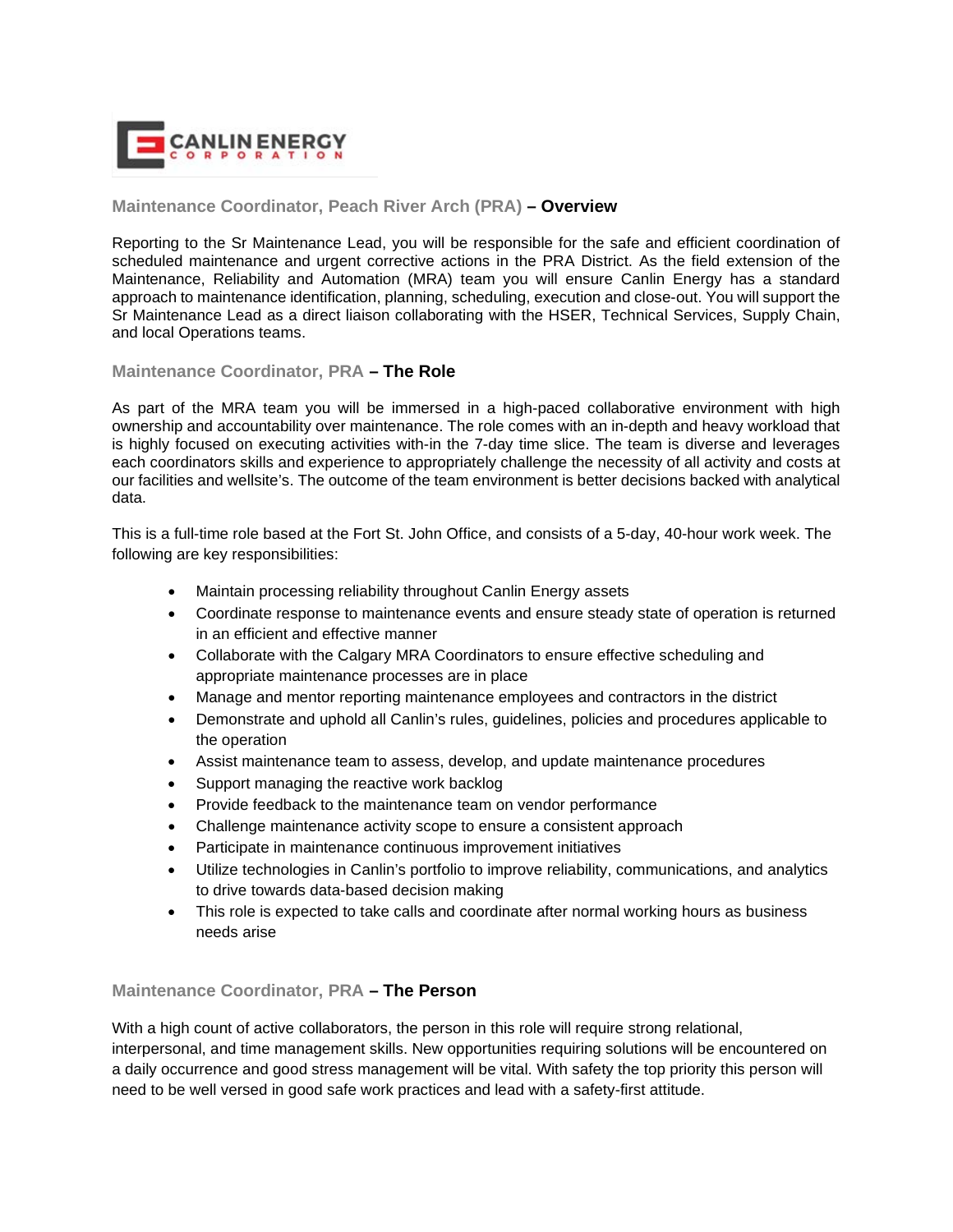

## **Maintenance Coordinator, Peach River Arch (PRA) – Overview**

Reporting to the Sr Maintenance Lead, you will be responsible for the safe and efficient coordination of scheduled maintenance and urgent corrective actions in the PRA District. As the field extension of the Maintenance, Reliability and Automation (MRA) team you will ensure Canlin Energy has a standard approach to maintenance identification, planning, scheduling, execution and close-out. You will support the Sr Maintenance Lead as a direct liaison collaborating with the HSER, Technical Services, Supply Chain, and local Operations teams.

## **Maintenance Coordinator, PRA – The Role**

As part of the MRA team you will be immersed in a high-paced collaborative environment with high ownership and accountability over maintenance. The role comes with an in-depth and heavy workload that is highly focused on executing activities with-in the 7-day time slice. The team is diverse and leverages each coordinators skills and experience to appropriately challenge the necessity of all activity and costs at our facilities and wellsite's. The outcome of the team environment is better decisions backed with analytical data.

This is a full-time role based at the Fort St. John Office, and consists of a 5-day, 40-hour work week. The following are key responsibilities:

- Maintain processing reliability throughout Canlin Energy assets
- Coordinate response to maintenance events and ensure steady state of operation is returned in an efficient and effective manner
- Collaborate with the Calgary MRA Coordinators to ensure effective scheduling and appropriate maintenance processes are in place
- Manage and mentor reporting maintenance employees and contractors in the district
- Demonstrate and uphold all Canlin's rules, guidelines, policies and procedures applicable to the operation
- Assist maintenance team to assess, develop, and update maintenance procedures
- Support managing the reactive work backlog
- Provide feedback to the maintenance team on vendor performance
- Challenge maintenance activity scope to ensure a consistent approach
- Participate in maintenance continuous improvement initiatives
- Utilize technologies in Canlin's portfolio to improve reliability, communications, and analytics to drive towards data-based decision making
- This role is expected to take calls and coordinate after normal working hours as business needs arise

## **Maintenance Coordinator, PRA – The Person**

With a high count of active collaborators, the person in this role will require strong relational, interpersonal, and time management skills. New opportunities requiring solutions will be encountered on a daily occurrence and good stress management will be vital. With safety the top priority this person will need to be well versed in good safe work practices and lead with a safety-first attitude.